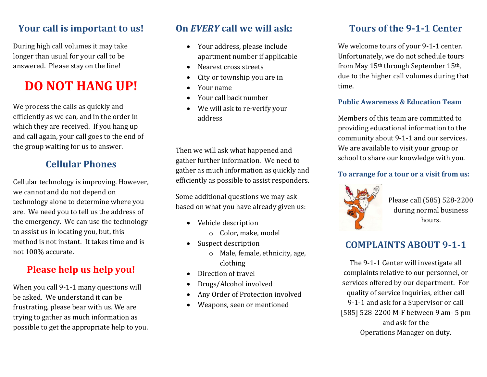### **Your call is important to us!**

During high call volumes it may take longer than usual for your call to be answered. Please stay on the line!

## **DO NOT HANG UP!**

We process the calls as quickly and efficiently as we can, and in the order in which they are received. If you hang up and call again, your call goes to the end of the group waiting for us to answer.

## **Cellular Phones**

Cellular technology is improving. However, we cannot and do not depend on technology alone to determine where you are. We need you to tell us the address of the emergency. We can use the technology to assist us in locating you, but, this method is not instant. It takes time and is not 100% accurate.

## **Please help us help you!**

When you call 9-1-1 many questions will be asked. We understand it can be frustrating, please bear with us. We are trying to gather as much information as possible to get the appropriate help to you.

## **On** *EVERY* **call we will ask:**

- Your address, please include apartment number if applicable
- Nearest cross streets
- City or township you are in
- Your name
- Your call back number
- We will ask to re-verify your address

Then we will ask what happened and gather further information. We need to gather as much information as quickly and efficiently as possible to assist responders.

Some additional questions we may ask based on what you have already given us:

- Vehicle description
	- o Color, make, model
- Suspect description
	- o Male, female, ethnicity, age, clothing
- Direction of travel
- Drugs/Alcohol involved
- Any Order of Protection involved
- Weapons, seen or mentioned

## **Tours of the 9-1-1 Center**

We welcome tours of your 9-1-1 center. Unfortunately, we do not schedule tours from May 15th through September 15th, due to the higher call volumes during that time.

#### **Public Awareness & Education Team**

Members of this team are committed to providing educational information to the community about 9-1-1 and our services. We are available to visit your group or school to share our knowledge with you.

#### **To arrange for a tour or a visit from us:**



Please call (585) 528-2200 during normal business hours.

## **COMPLAINTS ABOUT 9-1-1**

The 9-1-1 Center will investigate all complaints relative to our personnel, or services offered by our department. For quality of service inquiries, either call 9-1-1 and ask for a Supervisor or call [585] 528-2200 M-F between 9 am- 5 pm and ask for the Operations Manager on duty.